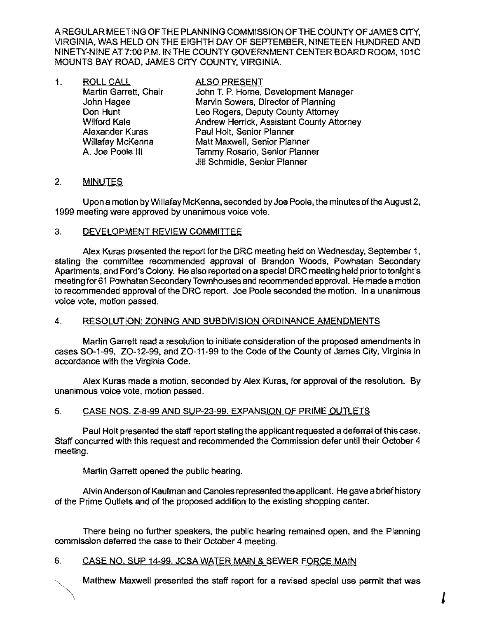A REGULAR MEETING OF THE PLANNING COMMISSION OFTHE COUNTY OF JAMES CITY. VIRGINIA, WAS HELD ON THE EIGHTH DAY OF SEPTEMBER, NINETEEN HUNDRED AND NINETY-NINE AT 7:00 P.M. IN THE COUNTY GOVERNMENT CENTER BOARD ROOM, 101C MOUNTS BAY ROAD, JAMES CITY COUNTY. VIRGINIA.

| 1. | <b>ROLL CALL</b>        | <b>ALSO PRESENT</b>                       |
|----|-------------------------|-------------------------------------------|
|    | Martin Garrett, Chair   | John T. P. Horne, Development Manager     |
|    | John Hagee              | Marvin Sowers, Director of Planning       |
|    | Don Hunt                | Leo Rogers, Deputy County Attorney        |
|    | <b>Wilford Kale</b>     | Andrew Herrick, Assistant County Attorney |
|    | Alexander Kuras         | Paul Holt, Senior Planner                 |
|    | <b>Willafay McKenna</b> | Matt Maxwell, Senior Planner              |
|    | A. Joe Poole III        | Tammy Rosario, Senior Planner             |
|    |                         | Jill Schmidle, Senior Planner             |

# 2. MINUTES

Upon a motion by Willafay McKenna, seconded by Joe Poole, the minutes ofthe August 2, 1999 meeting were approved by unanimous voice vote.

#### 3. DEVELOPMENT REVIEW COMMITTEE

Alex Kuras presented the report for the DRC meeting held on Wednesday, September 1, stating the committee recommended approval of Brandon Woods, Powhatan Secondary Apartments, and Ford's Colony. He also reported on a special DRC meeting held prior to tonight's meeting for61 Powhatan Secondary Townhouses and recommended approval. He made a motion to recommended approval of the DRC report. Joe Poole seconded the motion. In a unanimous voice vote, motion passed.

# 4. RESOLUTION: ZONING AND SUBDIVISION ORDINANCE AMENDMENTS

Martin Garrett read a resolution to initiate consideration of the proposed amendments in cases SO-1-99, ZO-12-99, and ZO-11-99 to the Code of the County of James City, Virginia in accordance with the Virginia Code.

Alex Kuras made a motion, seconded by Alex Kuras, for approval of the resolution. By unanimous voice vote, motion passed.

# 5. CASE NOS. Z-8-99 AND SUP-23-99. EXPANSION OF PRIME OUTLETS

Paul Holt presented the staff report stating the applicant requested a deferral ofthis case. Staff concurred with this request and recommended the Commission defer until their October 4 meeting.

Martin Garrett opened the public hearing.

Alvin Anderson ofKaufman and Canoles represented the applicant. He gave a brief history of the Prime Outlets and of the proposed addition to the existing shopping center.

There being no further speakers, the public hearing remained open, and the Planning commission deferred the case to their October 4 meeting.

# 6. CASE NO. SUP 14·99. JCSA WATER MAIN & SEWER FORCE MAIN

Matthew Maxwell presented the staff report for a revised special use permit that was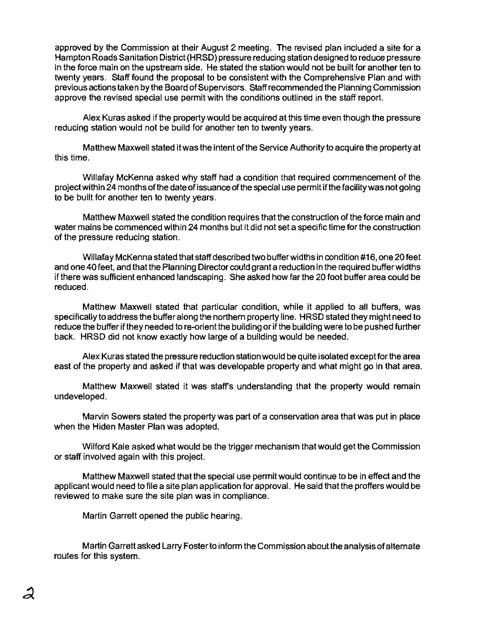approved by the Commission at their August 2 meeting. The revised plan included a site for a Hampton Roads Sanitation District (HRSD) pressure reducing station designed to reduce pressure in the force main on the upstream side. He stated the station would not be built for another ten to twenty years. Staff found the proposal to be consistent with the Comprehensive Plan and with previous actions taken by the Board of Supervisors. Staff recommended the Planning Commission approve the revised special use permit with the conditions outlined in the staff report.

Alex Kuras asked if the property would be acquired at this time even though the pressure reducing station would not be build for another ten to twenty years.

Matthew Maxwell stated it was the intent ofthe Service Authority to acquire the property at this time.

Willafay McKenna asked why staff had a condition that required commencement of the project within 24 months of the date of issuance of the special use permit if the facility was not going to be built for another ten to twenty years.

Matthew Maxwell stated the condition requires that the construction of the force main and water mains be commenced within 24 months but it did not set a specific time for the construction of the pressure reducing station.

Willafay McKenna stated that staff described two buffer widths in condition #16, one 20 feet and one 40 feet, and that the Planning Director could grant a reduction in the required buffer widths ifthere was sufficient enhanced landscaping. She asked how far the 20 foot buffer area could be reduced.

Matthew Maxwell stated that particular condition, while it applied to all buffers, was specifically to address the buffer along the northern property line. HRSD stated they might need to reduce the buffer if they needed to re-orient the building or if the building were to be pushed further back. HRSD did not know exactly how large of a building would be needed.

Alex Kuras stated the pressure reduction stationwould be quite isolated exceptforthe area east of the property and asked if that was developable property and what might go in that area.

Matthew Maxwell stated it was staff's understanding that the property would remain undeveloped.

Marvin Sowers stated the property was part of a conservation area that was put in place when the Hiden Master Plan was adopted.

Wilford Kale asked what would be the trigger mechanism that would get the Commission or staff involved again with this project.

Matthew Maxwell stated that the special use permit would continue to be in effect and the applicant would need to file a site plan application for approval. He said that the proffers would be reviewed to make sure the site plan was in compliance.

Martin Garrett opened the public hearing.

Martin Garrett asked Larry Foster to inform the Commission about the analysis ofalternate routes for this system.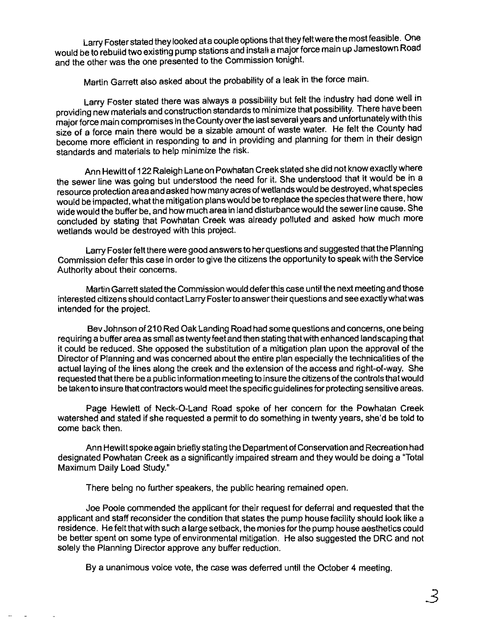Larry Foster stated they looked ata couple options thattheyfeltwere the most feasible. One would be to rebuild two existing pump stations and install a major force main up Jamestown Road and the other was the one presented to the Commission tonight.

Martin Garrett also asked about the probability of a leak in the force main.

Larry Foster stated there was always a possibility but felt the industry had done well in providing new materials and construction standards to minimize that possibility. There have been major force main compromises in the County over the last several years and unfortunately with this size of a force main there would be a sizable amount of waste water. He felt the County had become more efficient in responding to and in providing and planning for them in their design standards and materials to help minimize the risk.

Ann Hewitt of 122Raleigh Lane on Powhatan Creek stated she did not know exactly where the sewer line was going but understood the need for it. She understood that it would be in a resource protection area and asked how many acres ofwetlands would be destroyed, what species would be impacted, what the mitigation plans would be to replace the species that were there, how wide would the buffer be, and how much area in land disturbance would the sewer line cause. She concluded by stating that Powhatan Creek was already polluted and asked how much more wetlands would be destroyed with this project.

Larry Foster felt there were good answers to her questions and suggested that the Planning Commission defer this case in order to give the citizens the opportunity to speak with the Service Authority about their concems.

Martin Garrett stated the Commission would defer this case until the next meeting and those interested citizens should contact Larry Foster to answer their questions and see exactly whatwas intended for the project.

Bev Johnson of21 0 Red Oak Landing Road had some questions and concerns, one being requiring a buffer area as small as twenty feet and then stating that with enhanced landscaping that it could be reduced. She opposed the substitution of a mitigation plan upon the approval of the Director of Planning and was concerned about the entire plan especially the technicalities of the actual laying of the lines along the creek and the extension of the access and right-of-way. She requested that there be a public information meeting to insure the citizens ofthe controls that would be taken to insure that contractors would meet the specific guidelines for protecting sensitive areas.

Page Hewlett of Neck-O-Land Road spoke of her concem for the Powhatan Creek watershed and stated if she requested a permit to do something in twenty years, she'd be told to come back then.

Ann Hewitt spoke again briefly stating the Department of Conservation and Recreation had designated Powhatan Creek as a significantly impaired stream and they would be doing a "Total Maximum Daily Load Study."

There being no further speakers, the public hearing remained open.

Joe Poole commended the applicant for their request for deferral and requested that the applicant and staff reconsider the condition that states the pump house facility should look like a residence. Hefelt that with such a large setback, the monies for the pump house aesthetics could be better spent on some type of environmental mitigation. He also suggested the DRC and not solely the Planning Director approve any buffer reduction.

By a unanimous voice vote, the case was deferred until the October 4 meeting.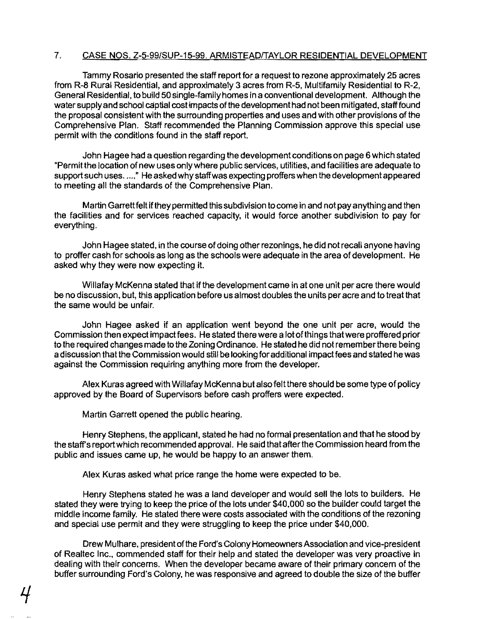#### 7. CASE NOS. Z-5-99/SUP-15-99. ARMISTEAD/TAYLOR RESIDENTIAL DEVELOPMENT

Tammy Rosario presented the staff report for a request to rezone approximately 25 acres from R-8 Rural Residential, and approximately 3 acres from R-5, Multifamily Residential to R-2, General Residential, to build 50 single-family homes in a conventional development. Although the water supply and school captial cost impacts of the development had not been mitigated, staff found the proposal consistent with the surrounding properties and uses and with other provisions of the Comprehensive Plan. Staff recommended the Planning Commission approve this special use permit with the conditions found in the staff report.

John Hagee had a question regarding the development conditions on page 6 which stated "Permit the location ofnew uses only where public services. utilities. and facilities are adequate to support such uses. ...," He asked why staff was expecting proffers when the development appeared to meeting all the standards of the Comprehensive Plan.

Martin Garrett felt if they permitted this subdivision to come in and not pay anything and then the facilities and for services reached capacity, it would force another subdivision to pay for everything.

John Hagee stated. in the course of doing other rezonings, he did not recall anyone having to proffer cash for schools as long as the schools were adequate in the area of development. He asked why they were now expecting it.

Willafay McKenna stated that ifthe development came in at one unit per acre there would be no discussion, but, this application before us almost doubles the units per acre and to treat that the same would be unfair.

John Hagee asked if an application went beyond the one unit per acre, would the Commission then expect impact fees. He stated there were a lot ofthings that were proffered prior to the required changes made to the ZOning Ordinance. He stated he did not remember there being a discussion that the Commission would still be looking for additional impact fees and stated he was against the Commission requiring anything more from the developer.

Alex Kuras agreed with Willafay McKenna but also felt there should be some type ofpolicy approved by the Board of Supervisors before cash proffers were expected.

Martin Garrett opened the public hearing.

Henry Stephens, the applicant, stated he had no formal presentation and that he stood by the staff's report which recommended approval. He said that after the Commission heard from the public and issues came up, he would be happy to an answer them.

Alex Kuras asked what price range the home were expected to be.

Henry Stephens stated he was a land developer and would sell the lots to builders. He stated they were trying to keep the price of the lots under \$40.000 so the builder could target the middle income family. He stated there were costs associated with the conditions of the rezoning and special use permit and they were struggling to keep the price under \$40,000.

Drew Mulhare, president of the Ford's Colony Homeowners Association and vice-president of Realtec Inc., commended staff for their help and stated the developer was very proactive in dealing with their concerns. When the developer became aware of their primary concern of the buffer surrounding Ford's Colony. he was responsive and agreed to double the size of the buffer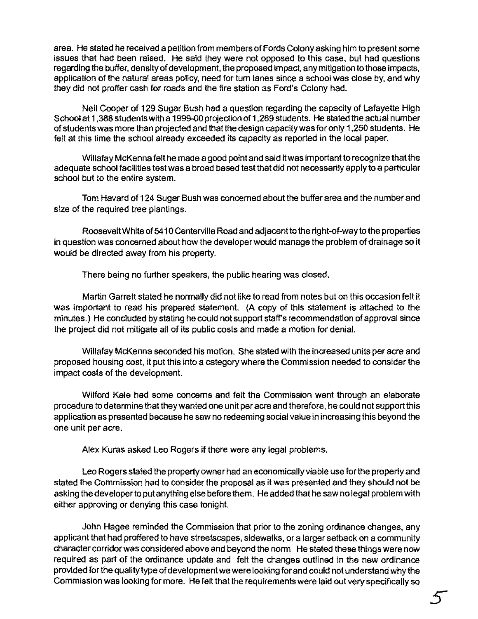area. He stated he received a petition from members of Fords Colony asking him to present some issues that had been raised. He said they were not opposed to Ihis case, bul had queslions regarding the buffer, density of development, the proposed impact, any mitigation to those impacts, application of the natural areas policy. need for tum lanes since a school was close by. and why they did not proffer cash for roads and the fire station as Ford's Colony had.

Neil Cooper of 129 Sugar Bush had a question regarding the capacity of lafayette High School at 1.388 students with a 1999-00 projection of 1,269 students. He stated the actual number ofstudents was more than projected and that the design capacity was for only 1,250 students. He felt at this time the school already exceeded its capacity as reported in the local paper.

Willafay McKenna felt he made a good point and said itwas important to recognize that the adequate school facilities test was a broad based test that did not necessarily apply to a particular school but to the entire system.

Tom Havard of124 Sugar Bush was concerned about the buffer area and the number and size of the required tree plantings.

Roosevelt White of 5410 Centerville Road and adjacent to the right-of-way to the properties in question was concerned about how the developer would manage the problem of drainage so it would be directed away from his property.

There being no further speakers, the public hearing was closed.

Martin Garrett stated he normally did not like to read from notes but on this occasion felt it was important to read his prepared statement. (A copy of this statement is attached to the minutes.) He concluded by stating he could not support staff's recommendation of approval since the project did not mitigate all of its public costs and made a motion for denial.

Willafay McKenna seconded his motion. She stated with the increased units per acre and proposed housing cost. it put this into a category where the Commission needed to consider the impact costs of the development.

Wilford Kale had some concerns and felt the Commission went through an elaborate procedure to determine that they wanted one unit per acre and therefore, he could not support this application as presented because he saw no redeeming social value in increasing this beyond the one unit per acre.

Alex Kuras asked Leo Rogers if there were any legal problems.

Leo Rogers stated the property owner had an economically viable use for the property and stated the Commission had to consider the proposal as it was presented and they should not be asking the developer to put anything else before them. He added that he saw no legal problem with either approving or denying this case tonight.

John Hagee reminded the Commission that prior to the zoning ordinance changes, any applicant that had proffered to have streetscapes. sidewalks, or a larger setback on a community character corridor was considered above and beyond the norm. He stated these things were now required as part of the ordinance update and felt the changes outlined in the new ordinance provided for the quality type of developmentwe were looking forand could notunderstand why the Commission was looking for more. He felt that the requirements were laid out very specifically so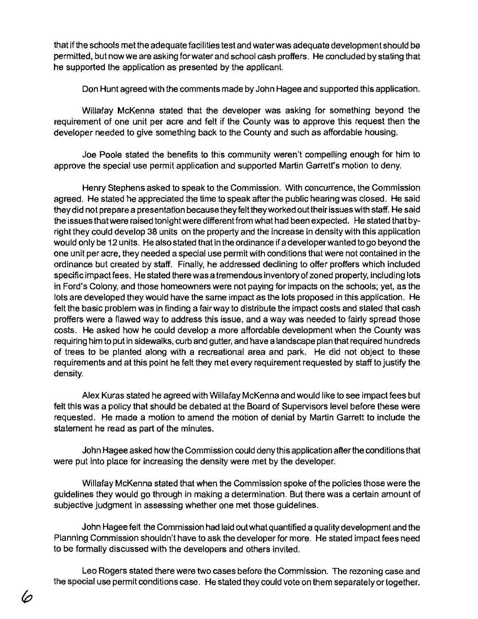that ifthe schools met the adequate facilities test and water was adequate development should be permitted, but now we are asking for water and school cash proffers. He concluded by stating that he supported the application as presented by the applicant.

Don Hunt agreed with the comments made by John Hagee and supported this application.

Willafay McKenna stated that the developer was asking for something beyond the requirement of one unit per acre and felt if the County was to approve this request then the developer needed to give something back to the County and such as affordable housing.

Joe Poole stated the benefits to this community weren't compelling enough for him to approve the special use permit application and supported Martin Garrett's motion to deny.

Henry Stephens asked to speak to the Commission. With concurrence, the Commission agreed. He stated he appreciated the time to speak after the public hearing was closed. He said they did not prepare a presentation because they felt they worked out their issues with staff. He said the issues that were raised tonight were differentfrom what had been expected. He stated that byright they could develop 38 units on the property and the increase in density with this application would only be 12 units. He also stated that in the ordinance if a developer wanted to go beyond the one unit per acre, they needed a special use permit with conditions that were not contained in the ordinance but created by staff. Finally, he addressed declining to offer proffers which included specific impact fees. He stated there was a tremendous inventory of zoned property, including lots in Ford's Colony, and those homeowners were not paying for impacts on the schools; yet, as the lots are developed they would have the same impact as the lots proposed in this application. He felt the basic problem was in finding a fairway to distribute the impact costs and stated that cash proffers were a flawed way to address this issue, and a way was needed to fairly spread those costs. He asked how he could develop a more affordable development when the County was requiring him to put in sidewalks, curb and gutter, and have a landscape plan that required hundreds of trees to be planted along with a recreational area and park. He did not object to these requirements and at this point he felt they met every requirement requested by staff to justify the density.

Alex Kuras stated he agreed with Willafay McKenna and would like to see impact fees but felt this was a policy that should be debated at the Board of Supervisors level before these were requested. He made a motion to amend the motion of denial by Martin Garrett to include the statement he read as part of the minutes.

John Hagee asked how the Commission could deny this application after the conditions that were put into place for increasing the density were met by the developer.

Willafay McKenna stated that when the Commission spoke of the policies those were the guidelines they would go through in making a determination. But there was a certain amount of subjective judgment in assessing whether one met those guidelines.

John Hagee felt the Commission had laid out what quantified a quality development and the Planning Commission shouldn't have to ask the developer for more. He stated impact fees need to be formally discussed with the developers and others invited.

Leo Rogers stated there were two cases before the Commission. The rezoning case and the special use permit conditions case. He stated they could vote on them separately ortogether.

(n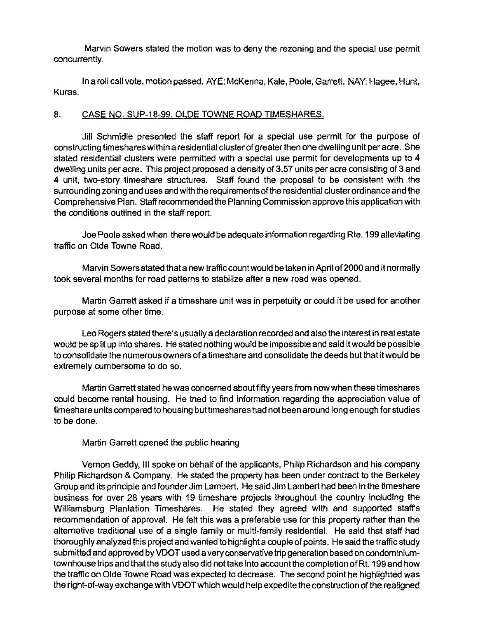Marvin Sowers stated the motion was to deny the rezoning and the special use permit concurrently.

In a roll call vote, motion passed. AYE: McKenna, Kale, Poole, Garrett. NAY: Hagee, Hunt, Kuras.

#### 8. CASE NO. SUP-18-99. OLDE TOWNE ROAD TIMESHARES.

Jill Schmidle presented the staff report for a special use permit for the purpose of constructing timeshares within a residential cluster of greater then one dwelling unit per acre. She stated residential clusters were permitted with a special use permit for developments up to 4 dwelling units per acre. This project proposed a density of 3.57 units per acre consisting of 3 and 4 unit, two-story timeshare structures. Staff found the proposal to be consistent with the surrounding zoning and uses and with the requirements of the residential cluster ordinance and the Comprehensive Plan. Staff recommended the Planning Commission approve this application with the conditions outlined in the staff report.

Joe Poole asked when there would be adequate information regarding Rte. 199 alleviating traffic on Olde Towne Road.

Marvin Sowers stated that a new traffic count would be taken in April of2000 and it normally took several months for road patterns to stabilize after a new road was opened.

Martin Garrett asked if a timeshare unit was in perpetuity or could it be used for another purpose at some other time.

Leo Rogers stated there's usually a declaration recorded and also the interest in real estate would be split up into shares. He stated nothing would be impossible and said it would be possible to consolidate the numerous owners of a timeshare and consolidate the deeds but that it would be extremely cumbersome to do so.

Martin Garrett stated he was concerned about fifty years from now when these tirneshares could become rental housing. He tried to find inforrnation regarding the appreciation value of timeshare units compared to housing buttimeshares had not been around long enough for studies to be done.

Martin Garrett opened the public hearing

Vernon Geddy, III spoke on behalf of the applicants, Philip Richardson and his company Philip Richardson & Company. He stated the property has been under contract to the Berkeley Group and its principle and founder Jim Lambert. He said Jirn Lambert had been in the timeshare business for over 28 years with 19 timeshare projects throughout the country including the Williamsburg Plantation Timeshares. He stated they agreed with and supported staff's recommendation of approval. He felt this was a preferable use for this property rather than the alternative traditional use of a single family or multi-family residential. He said that staff had thoroughly analyzed this project and wanted to highlight a couple of points. He said the traffic study submitted and approved by VDOT used a very conservative trip generation based on condominiumtownhouse trips and that the study also did not take into account the completion of Rt. 199 and how the traffic on Olde Towne Road was expected to decrease. The second point he highlighted was the right-of-way exchange with VDOTwhich would help expedite the construction of the realigned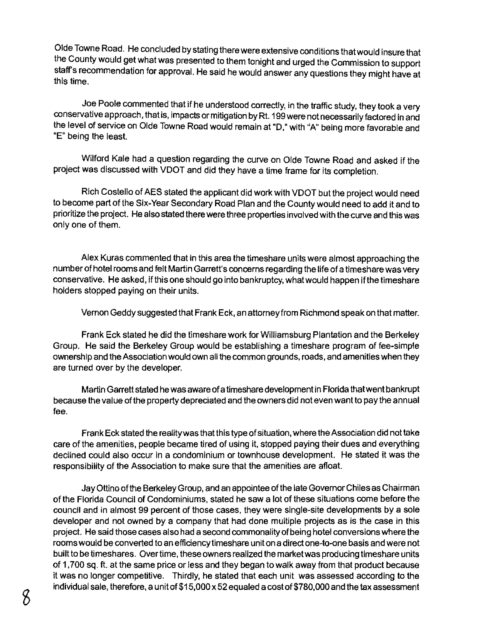Olde Towne Road. He concluded by stating there were extensive conditions that would insure that the County would get what was presented to them tonight and urged the Commission to support staff's recommendation for approval. He said he would answer any questions they might have at this time.

Joe Poole commented that if he understood correctly, in the traffic study, they took a very conservative approach, thatis, impacts or mitigation by Rt. 199 were not necessarily factored in and the level of service on Olde Towne Road would remain at "D," with "A" being more favorable and "E" being the least.

Wilford Kale had a question regarding the curve on Olde Towne Road and asked if the project was discussed with VOOT and did they have a time frame for its completion.

Rich Costello of AES stated the applicant did work with VOOT but the project would need to become part of the Six-Year Secondary Road Plan and the County would need to add it and to prioritize the project. He also stated there were three properties involved with the curve and this was only one of them.

Alex Kuras commented that in this area the timeshare units were almost approaching the number of hotel rooms and felt Martin Garrett's concerns regarding the life of a timeshare was very conservative. He asked, ifthisone should go into bankruptcy, what would happen if the timeshare holders stopped paying on their units.

Vernon Geddy suggested that Frank Eck, an attorney from Richmond speak on that matter.

Frank Eck stated he did the timeshare work for Williamsburg Plantation and the Berkeley Group. He said the Berkeley Group would be establishing a timeshare program of fee-simple ownership and the Association would own all the common grounds, roads, and amenities when they are turned over by the developer.

Martin Garrett stated hewas aware of a timeshare developmentin Florida that went bankrupt because the value of the property depreciated and the owners did not even want to pay the annual fee.

Frank Eck stated the reality was that this type of situation, where the ASSOCiation did not take care of the amenities, people became tired of using it, stopped paying their dues and everything declined could also occur in a condominium or townhouse development. He stated it was the responsibility of the Association to make sure that the amenities are afloat.

Jay Ottino of the Berkeley Group, and an appointee of the late Governor Chiles as Chairman of the Florida Council of Condominiums, stated he saw a lot of these situations come before the council and in almost 99 percent of those cases, they were single-site developments by a sole developer and not owned by a company that had done multiple projects as is the case in this project. He said those cases also had a second commonality of being hotel conversions where the rooms would be converted to an efficiency timeshare unit on a direct one-to-one basis and were not built to be timeshares. Over time, these owners realized the market was producing timeshare units of 1 ,700 sq. ft. at the same price or less and they began to walk away from that product because it was no longer competitive. Thirdly, he stated that each unit was assessed according to the individual sale, therefore, a unit of \$15,000 x 52 equaled a cost of \$780,000 and the tax assessment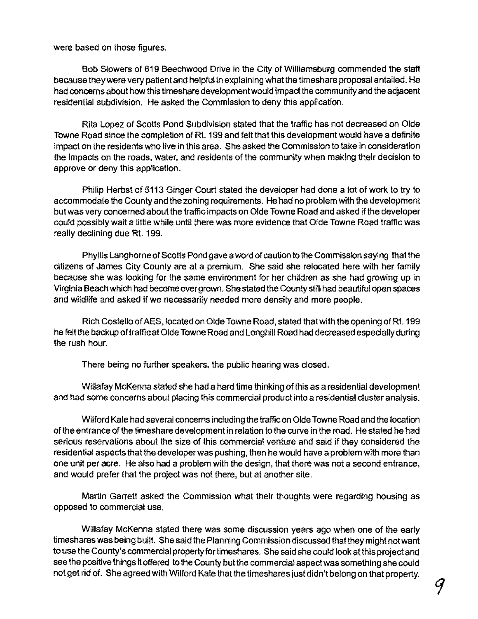were based on those figures.

Bob Stowers of 619 Beechwood Drive in the City of Williamsburg commended the slaff because they were very patient and helpful in explaining what the timeshare proposal entailed. He had concemsabout how this timeshare development would impact the community and the adjacent residential subdivision. He asked the Commission to deny this application.

Rita Lopez of Scotts Pond Subdivision slated that the traffic has not decreased on Olde Towne Road since the completion of Rt. 199 and felt that this development would have a definite impact on the residents who live in this area. She asked the Commission to lake in consideration the impacts on the roads, water, and residents of the community when making their decision to approve or deny this application.

Philip Herbst of 5113 Ginger Court stated the developer had done a lot of work to try to accommodate the County and the zoning requirements. He had no problem with the development but was very concerned about the traffic impacts on Olde Towne Road and asked if the developer could possibly wait a little while until there was more evidence that Olde Towne Road traffic was really declining due Rt. 199.

Phyllis Langhorne of Scotts Pond gave a word of caution to the Commission saying that the citizens of James City County are at a premium. She said she relocated here with her family because she was looking for the same environment for her children as she had growing up in Virginia Beach which had become overgrown. She slated the County still had beautiful open spaces and wildlife and asked if we necessarily needed more density and more people.

Rich Costello of AES, located on Olde Towne Road, slated that with the opening ofR!. 199 he felt the backup of traffic at Olde Towne Road and Longhill Road had decreased especially during the rush hour.

There being no further speakers, the public hearing was closed.

Willafay McKenna slated she had a hard time thinking of this as a residential development and had some concerns about placing this commercial product into a residential cluster analysis.

Wilford Kale had several concerns including the trafficon Olde Towne Road and the location ofthe entrance of the timeshare developmentin relation to the curve in the road. He stated he had serious reservations about the size of this commercial venture and said if they considered the residential aspects that the developer was pushing, then he would have a problem with more than one unit per acre. He also had a problem with the design, that there was not a second entrance, and would prefer that the project was not there, but at another site.

Martin Garrett asked the Commission what their thoughts were regarding housing as opposed to commercial use.

Willafay McKenna slated there was some discussion years ago when one of the early timeshares was being built. She said the Planning Commission discussed that they might not want to use the County's commercial propertyfortimeshares. She said she could look atthis project and see the positive things it offered to the County but the commercial aspect was something she could not get rid of. She agreed with Wilford Kale that the timeshares just didn't belong on that property.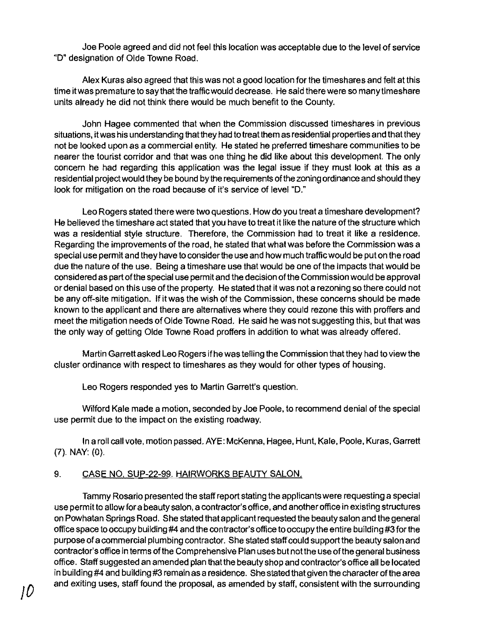Joe Poole agreed and did not feel this location was acceptable due to the level of service "D" designation of Olde Towne Road.

Alex Kuras also agreed that this was not a good location for the timeshares and felt at this time it was premature to say that the traffic would decrease. He said there were so many timeshare units already he did not think there would be much benefit to the County.

John Hagee commented that when the Commission discussed timeshares in previous situations, it was his understanding that they had to treat them as residential properties and that they not be looked upon as a commercial entity. He stated he preferred timeshare communities to be nearer the tourist corridor and that was one thing he did like about this development. The only concern he had regarding this application was the legal issue if they must look at this as a residential project would they be bound by the requirements of the zoning ordinance and should they look for mitigation on the road because of it's service of level "D."

Leo Rogers stated there were two questions. How do you treat a timeshare development? He believed the timeshare act stated that you have to treat it like the nature of the structure which was a residential style structure. Therefore, the CommisSion had to treat it like a residence. Regarding the improvements of the road, he stated that what was before the Commission was a special use permit and they have to consider the use and how much traffic would be put on the road due the nature of the use. Being a timeshare use that would be one of the impacts that would be considered as part ofthe special use permit and the decision ofthe CommisSion would be approval or denial based on this use of the property. He stated that it was not a rezoning so there could not be any off-site mitigation. If it was the wish of the Commission, these concerns should be made known to the applicant and there are alternatives where they could rezone this with proffers and meet the mitigation needs of Olde Towne Road. He said he was not suggesting this, but that was the only way of getting Olde Towne Road proffers in addition to what was already offered.

Martin Garrett asked Leo Rogers ifhe was telling the Commission that they had to view the cluster ordinance with respect to timeshares as they would for other types of housing.

Leo Rogers responded yes to Martin Garrett's question.

Wilford Kale made a motion, seconded by Joe Poole, to recommend denial of the special use permit due to the impact on the existing roadway.

In a roll call vote, motion passed. AYE: McKenna, Hagee, Hunt, Kale, Poole, Kuras, Garrett (7). NAY: (0).

# 9. CASE NO. SUP-22-99.HAIRWORKS BEAUTY SALON.

Tammy Rosario presented the staff report stating the applicants were requesting a special use permit to allow for a beauty salon, a contractor's office, and another office in existing structures on Powhatan Springs Road. She stated thai applicant requested the beauty salon and the general office space to occupy building #4 and the contractor's office to occupy the entire building #3 for the purpose ofa commercial plumbing contractor. She stated staff could support the beauty salon and contractor's office in terms ofthe Comprehensive Plan uses but notthe use ofthe general business office. Staff suggested an amended plan that the beauty shop and contractor's office all be located in building #4 and building #3 remain as a residence. She stated that given the character ofthe area and exiting uses, staff found the proposal, as amended by staff, consistent with the surrounding */D*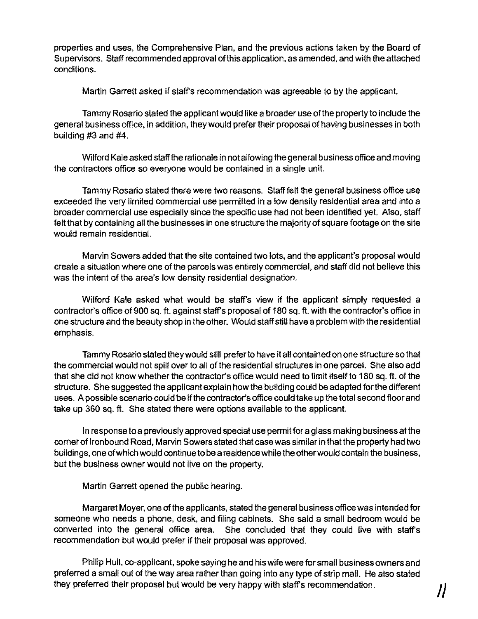properties and uses, the Comprehensive Plan, and the previous actions taken by the Board of Supervisors. Staff recommended approval of this application, as amended, and with the attached conditions.

Martin Garrett asked if staff's recommendation was agreeable to by the applicant.

Tammy Rosario stated the applicant would like a broader use of the property to indude the general business office, in addition, they would prefer their proposal ofhaving businesses in both building #3 and #4.

Wilford Kale asked staff the rationale in notallowing the general business office and moving the contractors office so everyone would be contained in a single unit.

Tammy Rosario stated there were two reasons. Staff felt the general business office use exceeded the very limited commercial use permitted in a low density residential area and into a broader commercial use especially since the specific use had not been identified yet. Also, staff felt that by containing all the businesses in one structure the majority of square footage on the site would remain residential.

Marvin Sowers added that the site contained two lots, and the applicant's proposal would create a situation where one of the parcels was entirely commercial, and staff did not believe this was the intent of the area's low density residential designation.

Wilford Kale asked what would be staff's view if the applicant simply requested a contractor's office of 900 sq. ft. against staff's proposal of 180 sq. ft. with the contractor's office in one structure and the beauty shop in the other. Would staff still have a problem with the residential emphasis.

Tammy Rosario stated theywould still prefer to have it all contained on one structure so that the commercial would not spill over to all of the residential structures in one parcel. She also add that she did not know whether the contractor's office would need to limit itself to 180 sq. ft. of the structure. She suggested the applicant explain how the building could be adapted forthe different uses. A possible scenario could be ifthe contractor's office could take up the total second floor and take up 360 sq. ft. She stated there were options available to the applicant.

In response to a previously approved special use permit for a glass making business at the corner of Ironbound Road, Marvin Sowers stated that case was similar in that the property had two buildings, one ofwhich would continue to be a residence while the other would contain the business, but the business owner would not live on the property.

Martin Garrett opened the public hearing.

Margaret Moyer, one ofthe applicants, stated the general business office was intended for someone who needs a phone, desk, and filing cabinets. She said a small bedroom would be converted into the general office area. She concluded that they could live with staff's recommendation but would prefer if their proposal was approved.

Philip Hull, co-applicant, spoke saying he and his wife were for small business owners and preferred a small out of the way area rather than going into any type of strip mall. He also stated they preferred their proposal but would be very happy with staff's recommendation. **II**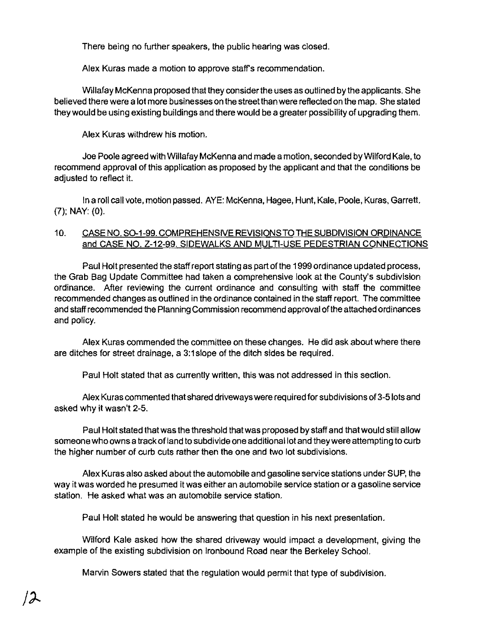There being no further speakers, the public hearing was closed.

Alex Kuras made a motion to approve staffs recommendation.

Willafay McKenna proposed that they consider the uses as outlined by the applicants. She believed there were a lot more businesses on the street than were reflected on the map. She stated they would be using existing buildings and there would be a greater possibility of upgrading them.

Alex Kuras withdrew his motion.

Joe Poole agreed with WiJlafay McKenna and made a motion, seconded by Wilford Kale, to recommend approval of this application as proposed by the applicant and that the conditions be adjusted to reflect it.

In a roll call vote, motion passed. AYE: McKenna, Hagee, Hunt, Kale, Poole, Kuras, Garrett. (7); NAY: (0).

# 10. CASE NO. SO-1-99. COMPREHENSIVE REVISIONS TO THE SUBDIVISION ORDINANCE and CASE NO. Z-12-99. SIDEWALKS AND MULTI-USE PEDESTRIAN CONNECTIONS

Paul Holt presented the staff report stating as part of the 1999 ordinance updated process, the Grab Bag Update Committee had taken a comprehensive look at the County's subdivision ordinance. After reviewing the current ordinance and consulting with staff the committee recommended changes as outlined in the ordinance contained in the staff report. The committee and staff recommended the Planning Commission recommend approval ofthe attached ordinances and policy.

Alex Kuras commended the committee on these changes. He did ask about where there are ditches for street drainage, a 3:1 slope of the ditch Sides be required.

Paul Holt stated that as currently written, this was not addressed in this section.

Alex Kuras commented that shared driveways were required for subdivisions of 3-5 lots and asked why it wasn't 2-5.

Paul Holt stated that was the threshold that was proposed by staff and that would still allow someone who owns a track of land to subdivide one additional lot and they were attempting to curb the higher number of curb cuts rather then the one and two lot subdivisions.

Alex Kuras also asked about the automobile and gasoline service stations under SUP, the way it was worded he presumed it was either an automobile service station or a gasoline service station. He asked what was an automobile service station.

Paul Holt stated he would be answering that question in his next presentation.

Wilford Kale aSked how the shared driveway would impact a development, giving the example of the existing subdivision on Ironbound Road near the Berkeley School.

Marvin Sowers stated that the regulation would permit that type of subdivision.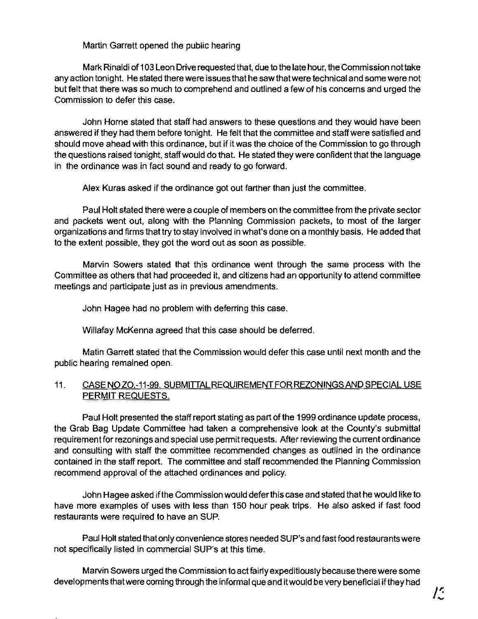Martin Garrett opened the public hearing

Mark Rinaldi of 1 03 Leon Drive requested that, due to the late hour, the Commission not take any action tonight. He stated there were issues that he saw that were technical and some were not but felt that there was so much to comprehend and outlined a few of his concems and urged the Commission to defer this case.

John Home stated that staff had answers to these questions and they would have been answered if they had them before tonight. He felt that the committee and staff were satisfied and should move ahead with this ordinance, but if it was the choice of the Commission to go through the questions raised tonight, staff would do that. He stated they were confident that the language in the ordinance was in fact sound and ready to go forward.

Alex Kuras asked if the ordinance got out farther than just the committee.

Paul Holt stated there were a couple of members on the committee from the private sector and packets went out, along with the Planning Commission packets, to most of the larger organizations and firms that try to stay involved in what's done on a monthly basis. He added that to the extent possible, they got the word out as soon as possible.

Marvin Sowers stated that this ordinance went through the same process with the Committee as others that had proceeded it, and citizens had an opportunity to attend committee meetings and participate just as in previous amendments.

John Hagee had no problem with deferring this case.

Willafay McKenna agreed that this case should be deferred.

Matin Garrett stated that the Commission would defer this case until next month and the public hearing remained open.

# 11. CASE NO ZO.-11-99. SUBMITTAL REQUIREMENT FOR REZONINGS AND SPECIAL USE PERMIT REQUESTS.

Paul Holt presented the staff report stating as part of the 1999 ordinance update process, the Grab Bag Update Committee had taken a comprehensive look at the County's submittal requirement for rezonings and special use permit requests. After reviewing the current ordinance and consulting with staff the committee recommended changes as outlined in the ordinance contained in the staff report. The committee and staff recommended the Planning Commission recommend approval of the attached ordinances and policy.

John Hagee asked ifthe Commission would defer this case and stated that he would like to have more examples of uses with less than 150 hour peak trips. He also asked if fast food restaurants were required to have an SUP.

Paul Holt stated that only convenience stores needed SUP's and fast food restaurants were not specifically listed in commercial SUP's at this time.

Marvin Sowers urged the Commission to act fairly expeditiously because there were some developments that were coming through the informal que and it would be very beneficial if they had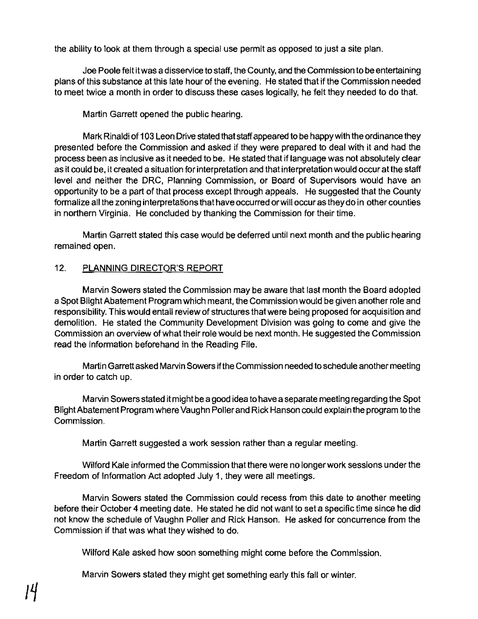the ability to look at them through a special use permit as opposed to just a site plan.

Joe Poole felt itwas a disservice to staff, the County, and the Commission to be entertaining plans of this substance at this late hour of the evening. He stated that if the Commission needed to meet twice a month in order to discuss these cases logically, he felt they needed to do that.

Martin Garrett opened the public hearing.

Mark Rinaldi of 103 Leon Drive stated that staffappeared to be happy with the ordinance they presented before the Commission and asked if they were prepared to deal with it and had the process been as inclusive as it needed to be. He stated that if language was not absolutely clear as it could be, it created a situation for interpretation and that interpretation would occur at the staff level and neither the DRC, Planning Commission, or Board of Supervisors would have an opportunity to be a part of that process except through appeals. He suggested that the County formalize all the zoning interpretations that have occurred orwill occur as they do in other counties in northern Virginia. He concluded by thanking the Commission for their time.

Martin Garrett stated this case would be deferred until next month and the public hearing remained open.

# 12. PLANNING DIRECTQR'S REPORT

Marvin Sowers stated the Commission may be aware that last month the Board adopted a Spot Blight Abatement Program which meant, the Commission would be given another role and responsibility. This would entail review of structures that were being proposed for acquisition and demolition. He stated the Community Development Division was going to come and give the Commission an overview of what their role would be next month. He suggested the Commission read the information beforehand in the Reading File.

Martin Garrett asked Marvin Sowers ifthe Commission needed to schedule another meeting in order to catch up.

Marvin Sowers stated it might be a good idea to have a separate meeting regarding the Spot Blight Abatement Program where Vaughn Poller and Rick Hanson could explain the program to the Commission.

Martin Garrett suggested a work session rather than a regular meeting.

Wilford Kale informed the Commission that there were no longer work sessions under the Freedom of Information Act adopted July 1, they were all meetings.

Marvin Sowers stated the Commission could recess from this date to another meeting before their October 4 meeting date. He stated he did not want to set a specific time since he did not know the schedule of Vaughn Poller and Rick Hanson. He asked for concurrence from the Commission if that was what they wished to do.

Wilford Kale asked how soon something might come before the Commission.

Marvin Sowers stated they might get something early this fall or winter.